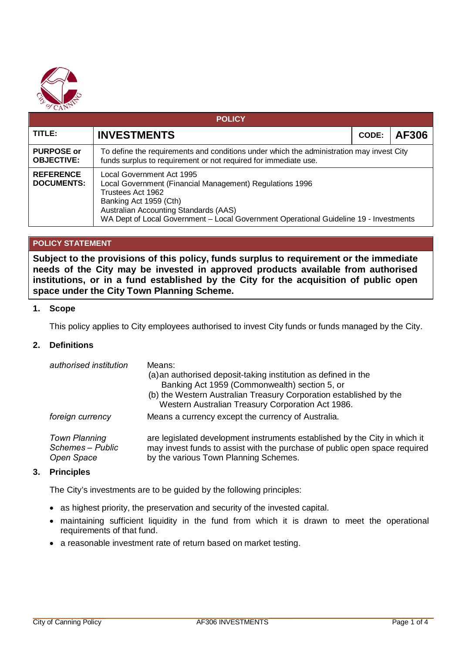

| <b>POLICY</b>                          |                                                                                                                                                                                                                                                                        |       |       |  |  |
|----------------------------------------|------------------------------------------------------------------------------------------------------------------------------------------------------------------------------------------------------------------------------------------------------------------------|-------|-------|--|--|
| TITLE:                                 | <b>INVESTMENTS</b>                                                                                                                                                                                                                                                     | CODE: | AF306 |  |  |
| <b>PURPOSE or</b><br><b>OBJECTIVE:</b> | To define the requirements and conditions under which the administration may invest City<br>funds surplus to requirement or not required for immediate use.                                                                                                            |       |       |  |  |
| <b>REFERENCE</b><br><b>DOCUMENTS:</b>  | Local Government Act 1995<br>Local Government (Financial Management) Regulations 1996<br>Trustees Act 1962<br>Banking Act 1959 (Cth)<br>Australian Accounting Standards (AAS)<br>WA Dept of Local Government - Local Government Operational Guideline 19 - Investments |       |       |  |  |

## **POLICY STATEMENT**

**Subject to the provisions of this policy, funds surplus to requirement or the immediate needs of the City may be invested in approved products available from authorised institutions, or in a fund established by the City for the acquisition of public open space under the City Town Planning Scheme.**

#### **1. Scope**

This policy applies to City employees authorised to invest City funds or funds managed by the City.

## **2. Definitions**

| authorised institution                                 | Means:<br>(a) an authorised deposit-taking institution as defined in the<br>Banking Act 1959 (Commonwealth) section 5, or<br>(b) the Western Australian Treasury Corporation established by the<br>Western Australian Treasury Corporation Act 1986. |
|--------------------------------------------------------|------------------------------------------------------------------------------------------------------------------------------------------------------------------------------------------------------------------------------------------------------|
| foreign currency                                       | Means a currency except the currency of Australia.                                                                                                                                                                                                   |
| <b>Town Planning</b><br>Schemes - Public<br>Open Space | are legislated development instruments established by the City in which it<br>may invest funds to assist with the purchase of public open space required<br>by the various Town Planning Schemes.                                                    |

#### **3. Principles**

The City's investments are to be guided by the following principles:

- as highest priority, the preservation and security of the invested capital.
- maintaining sufficient liquidity in the fund from which it is drawn to meet the operational requirements of that fund.
- a reasonable investment rate of return based on market testing.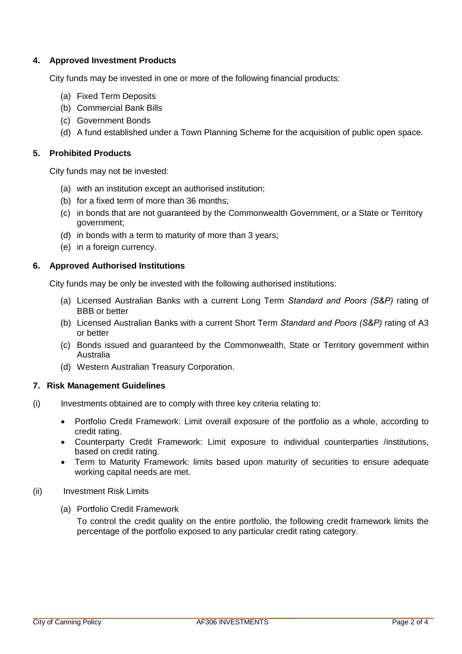## **4. Approved Investment Products**

City funds may be invested in one or more of the following financial products:

- (a) Fixed Term Deposits
- (b) Commercial Bank Bills
- (c) Government Bonds
- (d) A fund established under a Town Planning Scheme for the acquisition of public open space.

## **5. Prohibited Products**

City funds may not be invested:

- (a) with an institution except an authorised institution;
- (b) for a fixed term of more than 36 months;
- (c) in bonds that are not guaranteed by the Commonwealth Government, or a State or Territory government;
- (d) in bonds with a term to maturity of more than 3 years;
- (e) in a foreign currency.

## **6. Approved Authorised Institutions**

City funds may be only be invested with the following authorised institutions:

- (a) Licensed Australian Banks with a current Long Term *Standard and Poors (S&P)* rating of BBB or better
- (b) Licensed Australian Banks with a current Short Term *Standard and Poors (S&P)* rating of A3 or better
- (c) Bonds issued and guaranteed by the Commonwealth, State or Territory government within Australia
- (d) Western Australian Treasury Corporation.

#### **7. Risk Management Guidelines**

- (i) Investments obtained are to comply with three key criteria relating to:
	- Portfolio Credit Framework: Limit overall exposure of the portfolio as a whole, according to credit rating.
	- Counterparty Credit Framework: Limit exposure to individual counterparties /institutions, based on credit rating.
	- Term to Maturity Framework: limits based upon maturity of securities to ensure adequate working capital needs are met.

#### (ii) Investment Risk Limits

(a) Portfolio Credit Framework

To control the credit quality on the entire portfolio, the following credit framework limits the percentage of the portfolio exposed to any particular credit rating category.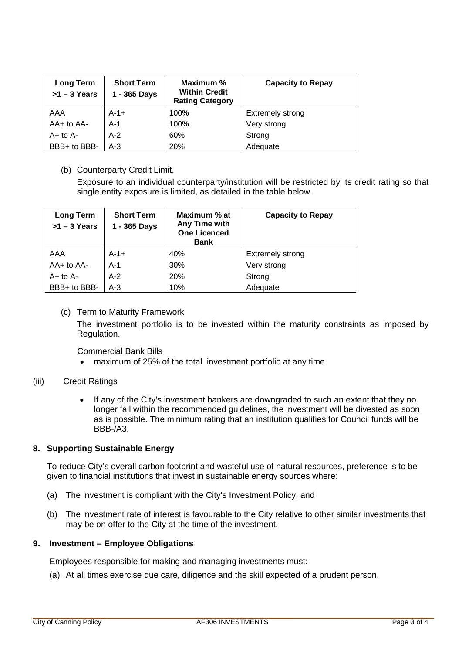| <b>Long Term</b><br>$>1 - 3$ Years | <b>Short Term</b><br>1 - 365 Days | Maximum %<br><b>Within Credit</b><br><b>Rating Category</b> | <b>Capacity to Repay</b> |
|------------------------------------|-----------------------------------|-------------------------------------------------------------|--------------------------|
| AAA                                | $A-1+$                            | 100%                                                        | <b>Extremely strong</b>  |
| $AA+$ to $AA-$                     | $A-1$                             | 100%                                                        | Very strong              |
| $A+$ to $A-$                       | $A-2$                             | 60%                                                         | Strong                   |
| BBB+ to BBB-                       | $A-3$                             | 20%                                                         | Adequate                 |

## (b) Counterparty Credit Limit.

Exposure to an individual counterparty/institution will be restricted by its credit rating so that single entity exposure is limited, as detailed in the table below.

| <b>Long Term</b><br>$>1 - 3$ Years | <b>Short Term</b><br>1 - 365 Days | Maximum % at<br>Any Time with<br><b>One Licenced</b><br><b>Bank</b> | <b>Capacity to Repay</b> |
|------------------------------------|-----------------------------------|---------------------------------------------------------------------|--------------------------|
| AAA                                | $A-1+$                            | 40%                                                                 | Extremely strong         |
| AA+ to AA-                         | $A-1$                             | 30%                                                                 | Very strong              |
| $A+$ to $A-$                       | $A-2$                             | 20%                                                                 | Strong                   |
| BBB+ to BBB-                       | $A-3$                             | 10%                                                                 | Adequate                 |

# (c) Term to Maturity Framework

The investment portfolio is to be invested within the maturity constraints as imposed by Regulation.

Commercial Bank Bills

• maximum of 25% of the total investment portfolio at any time.

## (iii) Credit Ratings

• If any of the City's investment bankers are downgraded to such an extent that they no longer fall within the recommended guidelines, the investment will be divested as soon as is possible. The minimum rating that an institution qualifies for Council funds will be BBB-/A3.

## **8. Supporting Sustainable Energy**

To reduce City's overall carbon footprint and wasteful use of natural resources, preference is to be given to financial institutions that invest in sustainable energy sources where:

- (a) The investment is compliant with the City's Investment Policy; and
- (b) The investment rate of interest is favourable to the City relative to other similar investments that may be on offer to the City at the time of the investment.

#### **9. Investment – Employee Obligations**

Employees responsible for making and managing investments must:

(a) At all times exercise due care, diligence and the skill expected of a prudent person.